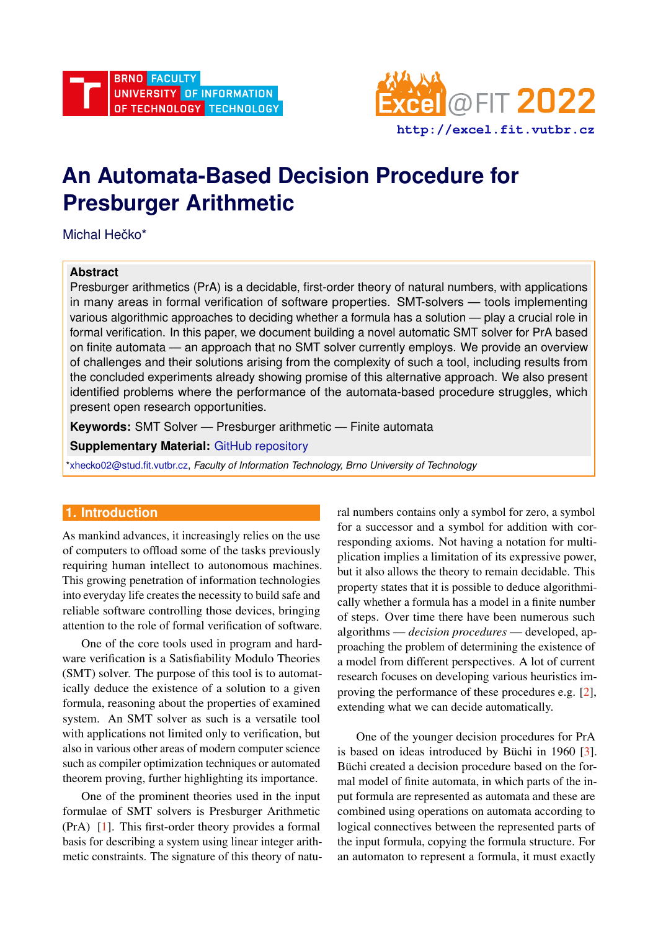

# **An Automata-Based Decision Procedure for Presburger Arithmetic**

Michal Hečko\*

#### **Abstract**

Presburger arithmetics (PrA) is a decidable, first-order theory of natural numbers, with applications in many areas in formal verification of software properties. SMT-solvers — tools implementing various algorithmic approaches to deciding whether a formula has a solution — play a crucial role in formal verification. In this paper, we document building a novel automatic SMT solver for PrA based on finite automata — an approach that no SMT solver currently employs. We provide an overview of challenges and their solutions arising from the complexity of such a tool, including results from the concluded experiments already showing promise of this alternative approach. We also present identified problems where the performance of the automata-based procedure struggles, which present open research opportunities.

**Keywords:** SMT Solver — Presburger arithmetic — Finite automata

**Supplementary Material:** [GitHub repository](https://github.com/MichalHe/amaya)

[\\*xhecko02@stud.fit.vutbr.cz,](mailto:xhecko02@stud.fit.vutbr.cz) *Faculty of Information Technology, Brno University of Technology*

## **1. Introduction**

As mankind advances, it increasingly relies on the use of computers to offload some of the tasks previously requiring human intellect to autonomous machines. This growing penetration of information technologies into everyday life creates the necessity to build safe and reliable software controlling those devices, bringing attention to the role of formal verification of software.

One of the core tools used in program and hardware verification is a Satisfiability Modulo Theories (SMT) solver. The purpose of this tool is to automatically deduce the existence of a solution to a given formula, reasoning about the properties of examined system. An SMT solver as such is a versatile tool with applications not limited only to verification, but also in various other areas of modern computer science such as compiler optimization techniques or automated theorem proving, further highlighting its importance.

One of the prominent theories used in the input formulae of SMT solvers is Presburger Arithmetic (PrA) [\[1\]](#page-5-0). This first-order theory provides a formal basis for describing a system using linear integer arithmetic constraints. The signature of this theory of natural numbers contains only a symbol for zero, a symbol for a successor and a symbol for addition with corresponding axioms. Not having a notation for multiplication implies a limitation of its expressive power, but it also allows the theory to remain decidable. This property states that it is possible to deduce algorithmically whether a formula has a model in a finite number of steps. Over time there have been numerous such algorithms — *decision procedures* — developed, approaching the problem of determining the existence of a model from different perspectives. A lot of current research focuses on developing various heuristics improving the performance of these procedures e.g. [\[2\]](#page-5-1), extending what we can decide automatically.

One of the younger decision procedures for PrA is based on ideas introduced by Büchi in  $1960$  [[3\]](#page-5-2). Büchi created a decision procedure based on the formal model of finite automata, in which parts of the input formula are represented as automata and these are combined using operations on automata according to logical connectives between the represented parts of the input formula, copying the formula structure. For an automaton to represent a formula, it must exactly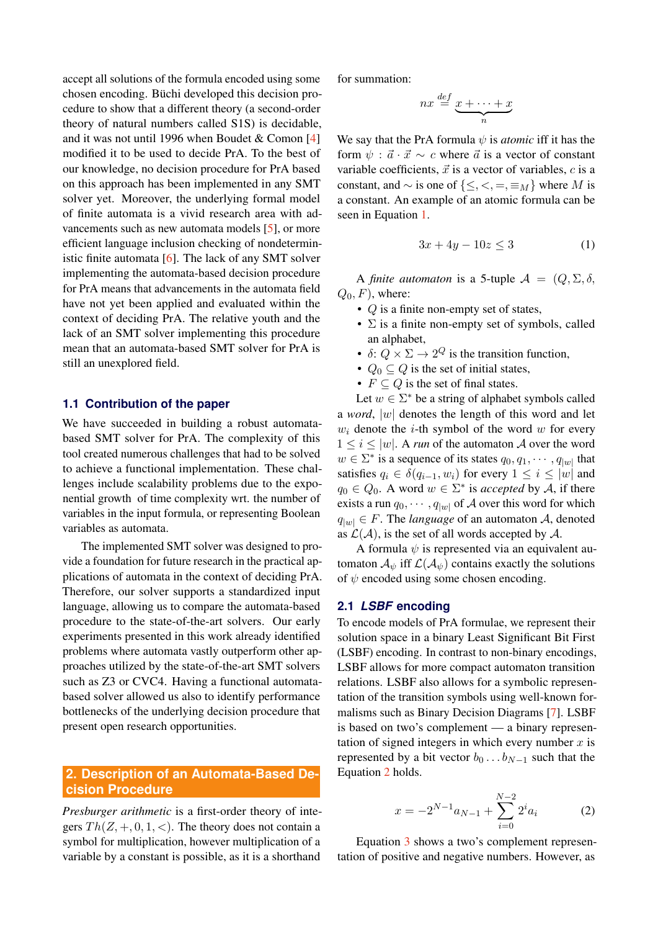accept all solutions of the formula encoded using some chosen encoding. Büchi developed this decision procedure to show that a different theory (a second-order theory of natural numbers called S1S) is decidable, and it was not until 1996 when Boudet & Comon [\[4\]](#page-5-3) modified it to be used to decide PrA. To the best of our knowledge, no decision procedure for PrA based on this approach has been implemented in any SMT solver yet. Moreover, the underlying formal model of finite automata is a vivid research area with advancements such as new automata models [\[5\]](#page-5-4), or more efficient language inclusion checking of nondeterministic finite automata [\[6\]](#page-5-5). The lack of any SMT solver implementing the automata-based decision procedure for PrA means that advancements in the automata field have not yet been applied and evaluated within the context of deciding PrA. The relative youth and the lack of an SMT solver implementing this procedure mean that an automata-based SMT solver for PrA is still an unexplored field.

#### **1.1 Contribution of the paper**

We have succeeded in building a robust automatabased SMT solver for PrA. The complexity of this tool created numerous challenges that had to be solved to achieve a functional implementation. These challenges include scalability problems due to the exponential growth of time complexity wrt. the number of variables in the input formula, or representing Boolean variables as automata.

The implemented SMT solver was designed to provide a foundation for future research in the practical applications of automata in the context of deciding PrA. Therefore, our solver supports a standardized input language, allowing us to compare the automata-based procedure to the state-of-the-art solvers. Our early experiments presented in this work already identified problems where automata vastly outperform other approaches utilized by the state-of-the-art SMT solvers such as Z3 or CVC4. Having a functional automatabased solver allowed us also to identify performance bottlenecks of the underlying decision procedure that present open research opportunities.

## **2. Description of an Automata-Based Decision Procedure**

*Presburger arithmetic* is a first-order theory of integers  $Th(Z, +, 0, 1, <)$ . The theory does not contain a symbol for multiplication, however multiplication of a variable by a constant is possible, as it is a shorthand for summation:

$$
nx \stackrel{def}{=} \underbrace{x + \cdots + x}_{n}
$$

We say that the PrA formula  $\psi$  is *atomic* iff it has the form  $\psi$ :  $\vec{a} \cdot \vec{x} \sim c$  where  $\vec{a}$  is a vector of constant variable coefficients,  $\vec{x}$  is a vector of variables, c is a constant, and  $\sim$  is one of { $\leq, \leq, =, \equiv_M$ } where M is a constant. An example of an atomic formula can be seen in Equation [1.](#page-1-0)

<span id="page-1-0"></span>
$$
3x + 4y - 10z \le 3\tag{1}
$$

A *finite automaton* is a 5-tuple  $A = (Q, \Sigma, \delta, \mathcal{A})$  $Q_0, F$ , where:

- Q is a finite non-empty set of states,
- $\Sigma$  is a finite non-empty set of symbols, called an alphabet,
- $\delta: Q \times \Sigma \rightarrow 2^Q$  is the transition function,
- $Q_0 \subseteq Q$  is the set of initial states,
- $F \subseteq Q$  is the set of final states.

Let  $w \in \Sigma^*$  be a string of alphabet symbols called a *word*, |w| denotes the length of this word and let  $w_i$  denote the *i*-th symbol of the word  $w$  for every  $1 \leq i \leq |w|$ . A *run* of the automaton A over the word  $w \in \Sigma^*$  is a sequence of its states  $q_0, q_1, \dots, q_{|w|}$  that satisfies  $q_i \in \delta(q_{i-1}, w_i)$  for every  $1 \leq i \leq |w|$  and  $q_0 \in Q_0$ . A word  $w \in \Sigma^*$  is *accepted* by A, if there exists a run  $q_0, \dots, q_{|w|}$  of A over this word for which  $q_{|w|} \in F$ . The *language* of an automaton A, denoted as  $\mathcal{L}(\mathcal{A})$ , is the set of all words accepted by  $\mathcal{A}$ .

A formula  $\psi$  is represented via an equivalent automaton  $\mathcal{A}_{\psi}$  iff  $\mathcal{L}(\mathcal{A}_{\psi})$  contains exactly the solutions of  $\psi$  encoded using some chosen encoding.

#### **2.1** *LSBF* **encoding**

To encode models of PrA formulae, we represent their solution space in a binary Least Significant Bit First (LSBF) encoding. In contrast to non-binary encodings, LSBF allows for more compact automaton transition relations. LSBF also allows for a symbolic representation of the transition symbols using well-known formalisms such as Binary Decision Diagrams [\[7\]](#page-5-6). LSBF is based on two's complement — a binary representation of signed integers in which every number  $x$  is represented by a bit vector  $b_0 \dots b_{N-1}$  such that the Equation [2](#page-1-1) holds.

<span id="page-1-1"></span>
$$
x = -2^{N-1}a_{N-1} + \sum_{i=0}^{N-2} 2^i a_i \tag{2}
$$

Equation [3](#page-2-0) shows a two's complement representation of positive and negative numbers. However, as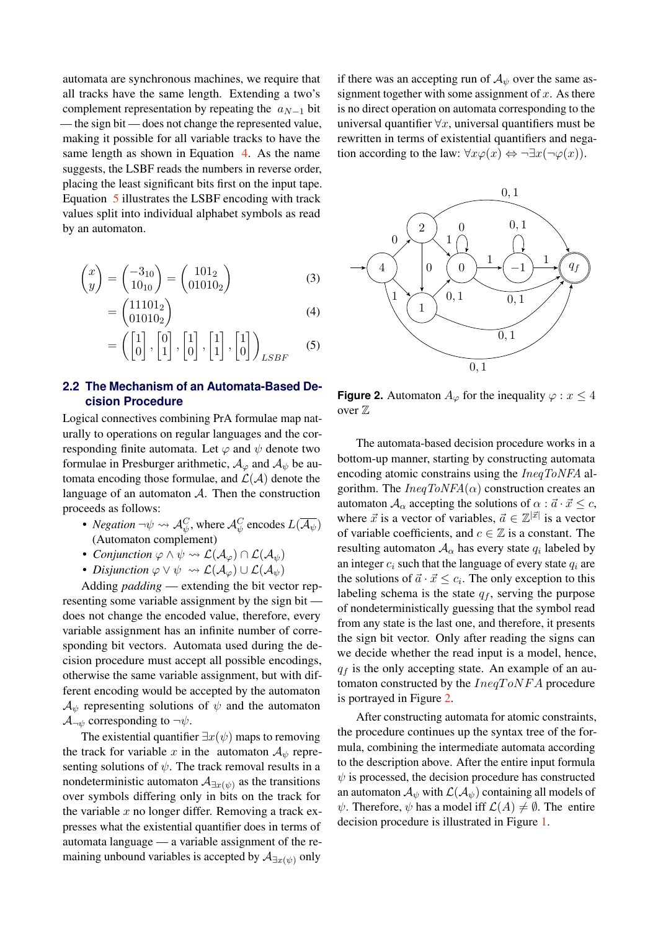automata are synchronous machines, we require that all tracks have the same length. Extending a two's complement representation by repeating the  $a_{N-1}$  bit — the sign bit — does not change the represented value, making it possible for all variable tracks to have the same length as shown in Equation [4.](#page-2-1) As the name suggests, the LSBF reads the numbers in reverse order, placing the least significant bits first on the input tape. Equation [5](#page-2-2) illustrates the LSBF encoding with track values split into individual alphabet symbols as read by an automaton.

$$
\begin{pmatrix} x \\ y \end{pmatrix} = \begin{pmatrix} -3_{10} \\ 10_{10} \end{pmatrix} = \begin{pmatrix} 101_2 \\ 01010_2 \end{pmatrix}
$$
 (3)

$$
=\begin{pmatrix}11101_2\\01010_2\end{pmatrix}\tag{4}
$$

$$
= \left( \begin{bmatrix} 1 \\ 0 \end{bmatrix}, \begin{bmatrix} 0 \\ 1 \end{bmatrix}, \begin{bmatrix} 1 \\ 0 \end{bmatrix}, \begin{bmatrix} 1 \\ 1 \end{bmatrix}, \begin{bmatrix} 1 \\ 0 \end{bmatrix} \right)_{LSBF} \tag{5}
$$

### **2.2 The Mechanism of an Automata-Based Decision Procedure**

Logical connectives combining PrA formulae map naturally to operations on regular languages and the corresponding finite automata. Let  $\varphi$  and  $\psi$  denote two formulae in Presburger arithmetic,  $A_{\varphi}$  and  $A_{\psi}$  be automata encoding those formulae, and  $\mathcal{L}(\mathcal{A})$  denote the language of an automaton  $A$ . Then the construction proceeds as follows:

- *Negation*  $\neg \psi \leadsto \mathcal{A}_{\psi}^C$ , where  $\mathcal{A}_{\psi}^C$  encodes  $L(\overline{\mathcal{A}_{\psi}})$ (Automaton complement)
- *Conjunction*  $\varphi \land \psi \leadsto \mathcal{L}(\mathcal{A}_{\varphi}) \cap \mathcal{L}(\mathcal{A}_{\psi})$
- *Disjunction*  $\varphi \lor \psi \leadsto \mathcal{L}(\mathcal{A}_{\varphi}) \cup \mathcal{L}(\mathcal{A}_{\psi})$

Adding *padding* — extending the bit vector representing some variable assignment by the sign bit does not change the encoded value, therefore, every variable assignment has an infinite number of corresponding bit vectors. Automata used during the decision procedure must accept all possible encodings, otherwise the same variable assignment, but with different encoding would be accepted by the automaton  $\mathcal{A}_{\psi}$  representing solutions of  $\psi$  and the automaton  $\mathcal{A}_{\neg \psi}$  corresponding to  $\neg \psi$ .

The existential quantifier  $\exists x(\psi)$  maps to removing the track for variable x in the automaton  $A_{\psi}$  representing solutions of  $\psi$ . The track removal results in a nondeterministic automaton  $\mathcal{A}_{\exists x(\psi)}$  as the transitions over symbols differing only in bits on the track for the variable  $x$  no longer differ. Removing a track expresses what the existential quantifier does in terms of automata language — a variable assignment of the remaining unbound variables is accepted by  $\mathcal{A}_{\exists x(\psi)}$  only

if there was an accepting run of  $A_{\psi}$  over the same assignment together with some assignment of  $x$ . As there is no direct operation on automata corresponding to the universal quantifier  $\forall x$ , universal quantifiers must be rewritten in terms of existential quantifiers and negation according to the law:  $\forall x \varphi(x) \Leftrightarrow \neg \exists x (\neg \varphi(x)).$ 

<span id="page-2-3"></span><span id="page-2-0"></span>

<span id="page-2-2"></span><span id="page-2-1"></span>**Figure 2.** Automaton  $A_{\varphi}$  for the inequality  $\varphi : x \leq 4$ over Z

The automata-based decision procedure works in a bottom-up manner, starting by constructing automata encoding atomic constrains using the *IneqToNFA* algorithm. The  $IneqToNFA(\alpha)$  construction creates an automaton  $A_{\alpha}$  accepting the solutions of  $\alpha : \vec{a} \cdot \vec{x} \leq c$ , where  $\vec{x}$  is a vector of variables,  $\vec{a} \in \mathbb{Z}^{|\vec{x}|}$  is a vector of variable coefficients, and  $c \in \mathbb{Z}$  is a constant. The resulting automaton  $A_{\alpha}$  has every state  $q_i$  labeled by an integer  $c_i$  such that the language of every state  $q_i$  are the solutions of  $\vec{a} \cdot \vec{x} \leq c_i$ . The only exception to this labeling schema is the state  $q_f$ , serving the purpose of nondeterministically guessing that the symbol read from any state is the last one, and therefore, it presents the sign bit vector. Only after reading the signs can we decide whether the read input is a model, hence,  $q_f$  is the only accepting state. An example of an automaton constructed by the  $IneqToNFA$  procedure is portrayed in Figure [2.](#page-2-3)

After constructing automata for atomic constraints, the procedure continues up the syntax tree of the formula, combining the intermediate automata according to the description above. After the entire input formula  $\psi$  is processed, the decision procedure has constructed an automaton  $\mathcal{A}_{\psi}$  with  $\mathcal{L}(\mathcal{A}_{\psi})$  containing all models of  $\psi$ . Therefore,  $\psi$  has a model iff  $\mathcal{L}(A) \neq \emptyset$ . The entire decision procedure is illustrated in Figure [1.](#page-3-0)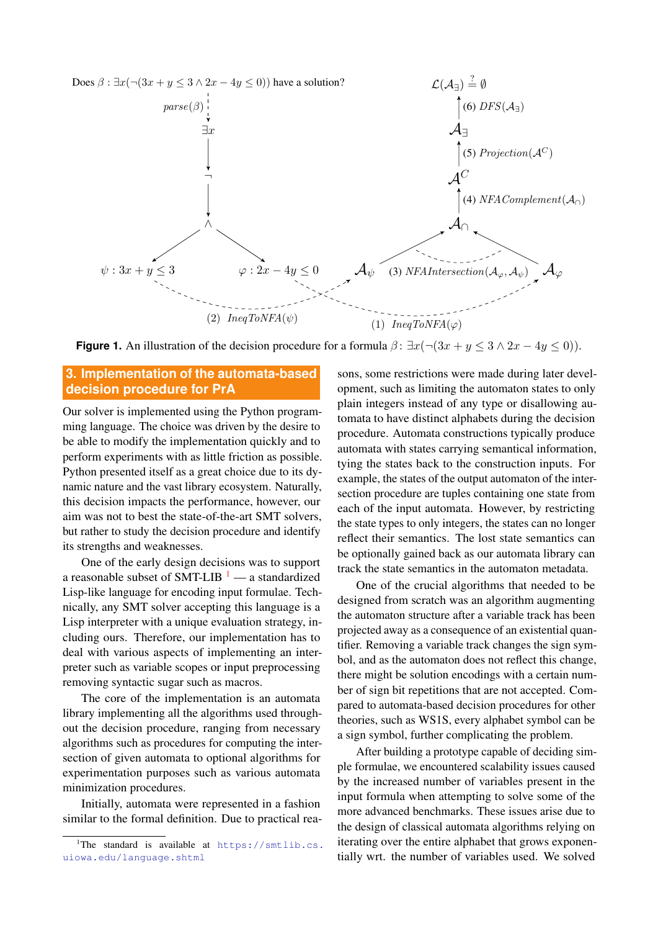<span id="page-3-0"></span>

**Figure 1.** An illustration of the decision procedure for a formula  $\beta$ :  $\exists x (\neg (3x + y \leq 3 \land 2x - 4y \leq 0))$ .

## **3. Implementation of the automata-based decision procedure for PrA**

Our solver is implemented using the Python programming language. The choice was driven by the desire to be able to modify the implementation quickly and to perform experiments with as little friction as possible. Python presented itself as a great choice due to its dynamic nature and the vast library ecosystem. Naturally, this decision impacts the performance, however, our aim was not to best the state-of-the-art SMT solvers, but rather to study the decision procedure and identify its strengths and weaknesses.

One of the early design decisions was to support a reasonable subset of SMT-LIB  $<sup>1</sup>$  $<sup>1</sup>$  $<sup>1</sup>$  — a standardized</sup> Lisp-like language for encoding input formulae. Technically, any SMT solver accepting this language is a Lisp interpreter with a unique evaluation strategy, including ours. Therefore, our implementation has to deal with various aspects of implementing an interpreter such as variable scopes or input preprocessing removing syntactic sugar such as macros.

The core of the implementation is an automata library implementing all the algorithms used throughout the decision procedure, ranging from necessary algorithms such as procedures for computing the intersection of given automata to optional algorithms for experimentation purposes such as various automata minimization procedures.

Initially, automata were represented in a fashion similar to the formal definition. Due to practical reasons, some restrictions were made during later development, such as limiting the automaton states to only plain integers instead of any type or disallowing automata to have distinct alphabets during the decision procedure. Automata constructions typically produce automata with states carrying semantical information, tying the states back to the construction inputs. For example, the states of the output automaton of the intersection procedure are tuples containing one state from each of the input automata. However, by restricting the state types to only integers, the states can no longer reflect their semantics. The lost state semantics can be optionally gained back as our automata library can track the state semantics in the automaton metadata.

One of the crucial algorithms that needed to be designed from scratch was an algorithm augmenting the automaton structure after a variable track has been projected away as a consequence of an existential quantifier. Removing a variable track changes the sign symbol, and as the automaton does not reflect this change, there might be solution encodings with a certain number of sign bit repetitions that are not accepted. Compared to automata-based decision procedures for other theories, such as WS1S, every alphabet symbol can be a sign symbol, further complicating the problem.

After building a prototype capable of deciding simple formulae, we encountered scalability issues caused by the increased number of variables present in the input formula when attempting to solve some of the more advanced benchmarks. These issues arise due to the design of classical automata algorithms relying on iterating over the entire alphabet that grows exponentially wrt. the number of variables used. We solved

<span id="page-3-1"></span> $^1$ The standard is available at [https://smtlib.cs.](https://smtlib.cs.uiowa.edu/language.shtml) [uiowa.edu/language.shtml](https://smtlib.cs.uiowa.edu/language.shtml)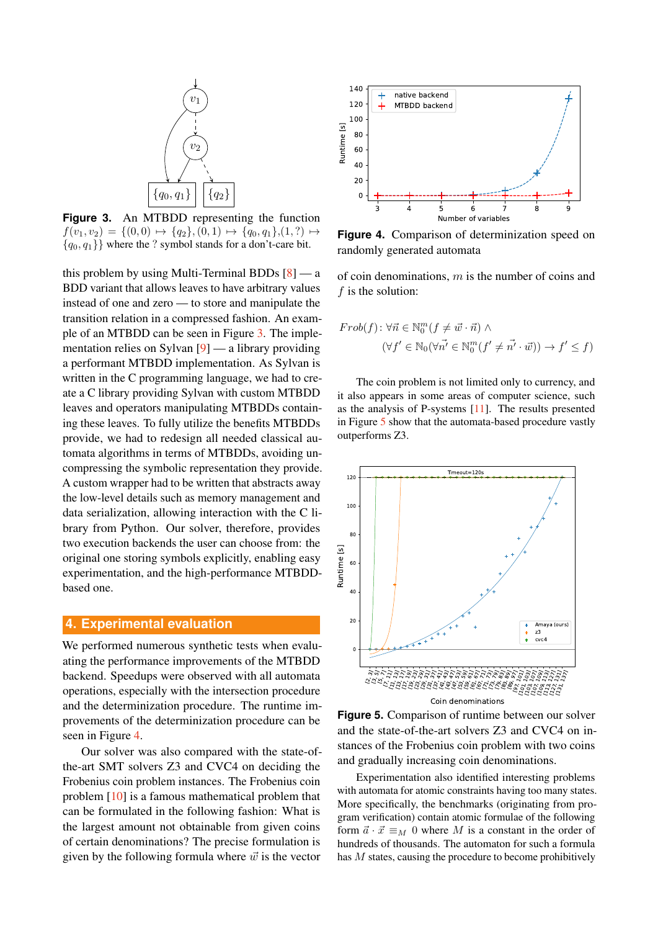<span id="page-4-0"></span>![](_page_4_Figure_0.jpeg)

**Figure 3.** An MTBDD representing the function  $f(v_1, v_2) = \{(0, 0) \mapsto \{q_2\}, (0, 1) \mapsto \{q_0, q_1\}, (1, ?) \mapsto$  ${q_0, q_1}$  where the ? symbol stands for a don't-care bit.

this problem by using Multi-Terminal BDDs  $[8]$  — a BDD variant that allows leaves to have arbitrary values instead of one and zero — to store and manipulate the transition relation in a compressed fashion. An example of an MTBDD can be seen in Figure [3.](#page-4-0) The implementation relies on Sylvan [\[9\]](#page-5-8) — a library providing a performant MTBDD implementation. As Sylvan is written in the C programming language, we had to create a C library providing Sylvan with custom MTBDD leaves and operators manipulating MTBDDs containing these leaves. To fully utilize the benefits MTBDDs provide, we had to redesign all needed classical automata algorithms in terms of MTBDDs, avoiding uncompressing the symbolic representation they provide. A custom wrapper had to be written that abstracts away the low-level details such as memory management and data serialization, allowing interaction with the C library from Python. Our solver, therefore, provides two execution backends the user can choose from: the original one storing symbols explicitly, enabling easy experimentation, and the high-performance MTBDDbased one.

#### **4. Experimental evaluation**

We performed numerous synthetic tests when evaluating the performance improvements of the MTBDD backend. Speedups were observed with all automata operations, especially with the intersection procedure and the determinization procedure. The runtime improvements of the determinization procedure can be seen in Figure [4.](#page-4-1)

Our solver was also compared with the state-ofthe-art SMT solvers Z3 and CVC4 on deciding the Frobenius coin problem instances. The Frobenius coin problem [\[10\]](#page-5-9) is a famous mathematical problem that can be formulated in the following fashion: What is the largest amount not obtainable from given coins of certain denominations? The precise formulation is given by the following formula where  $\vec{w}$  is the vector

<span id="page-4-1"></span>![](_page_4_Figure_6.jpeg)

**Figure 4.** Comparison of determinization speed on randomly generated automata

of coin denominations,  $m$  is the number of coins and f is the solution:

$$
Frob(f) : \forall \vec{n} \in \mathbb{N}_0^m (f \neq \vec{w} \cdot \vec{n}) \land (\forall f' \in \mathbb{N}_0 (\forall \vec{n'} \in \mathbb{N}_0^m (f' \neq \vec{n'} \cdot \vec{w})) \rightarrow f' \leq f)
$$

The coin problem is not limited only to currency, and it also appears in some areas of computer science, such as the analysis of P-systems [\[11\]](#page-5-10). The results presented in Figure [5](#page-4-2) show that the automata-based procedure vastly outperforms Z3.

<span id="page-4-2"></span>![](_page_4_Figure_11.jpeg)

![](_page_4_Figure_12.jpeg)

Experimentation also identified interesting problems with automata for atomic constraints having too many states. More specifically, the benchmarks (originating from program verification) contain atomic formulae of the following form  $\vec{a} \cdot \vec{x} \equiv_M 0$  where M is a constant in the order of hundreds of thousands. The automaton for such a formula has  $M$  states, causing the procedure to become prohibitively